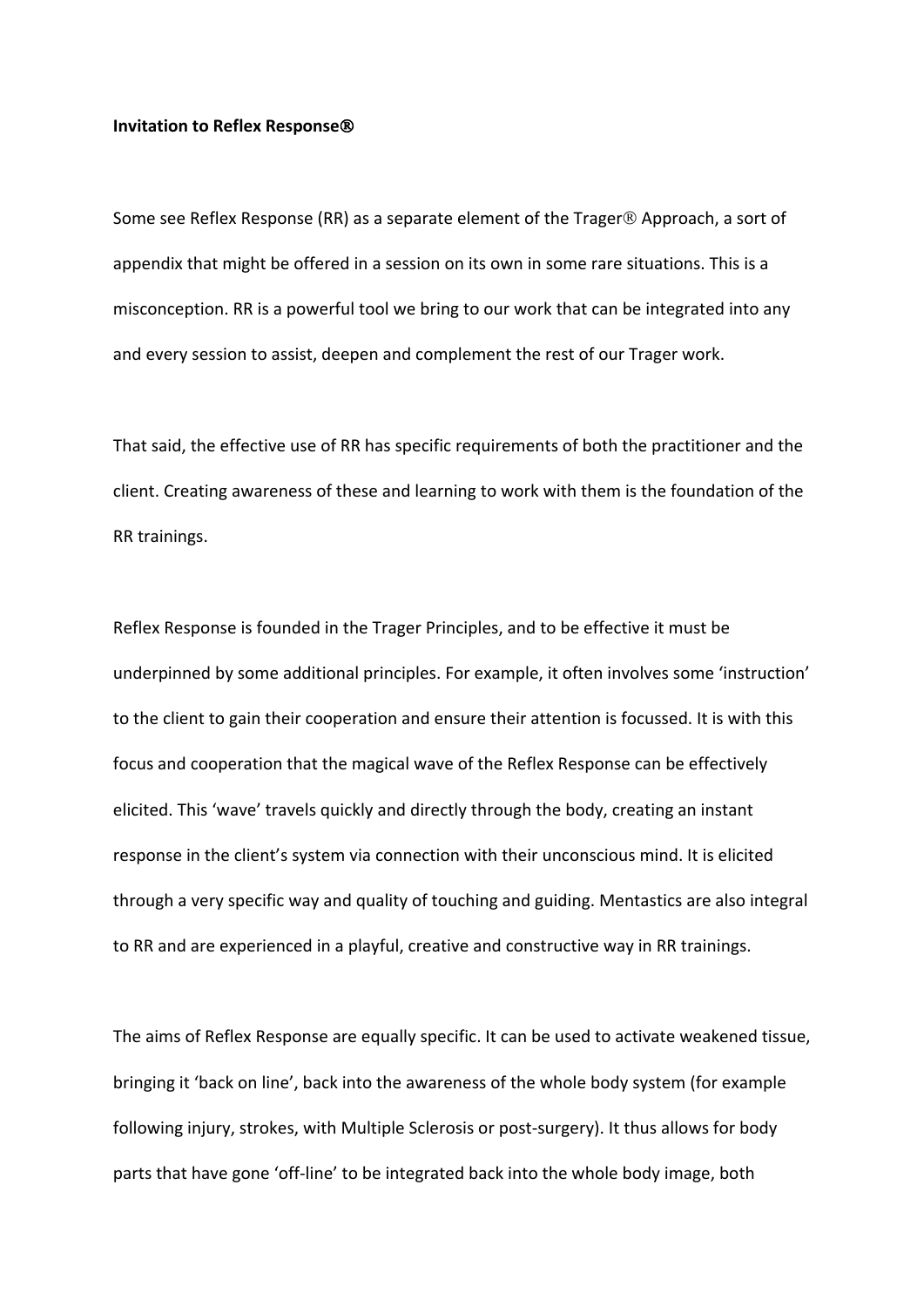## **Invitation to Reflex Response**Ò

Some see Reflex Response (RR) as a separate element of the Trager<sup>®</sup> Approach, a sort of appendix that might be offered in a session on its own in some rare situations. This is a misconception. RR is a powerful tool we bring to our work that can be integrated into any and every session to assist, deepen and complement the rest of our Trager work.

That said, the effective use of RR has specific requirements of both the practitioner and the client. Creating awareness of these and learning to work with them is the foundation of the RR trainings.

Reflex Response is founded in the Trager Principles, and to be effective it must be underpinned by some additional principles. For example, it often involves some 'instruction' to the client to gain their cooperation and ensure their attention is focussed. It is with this focus and cooperation that the magical wave of the Reflex Response can be effectively elicited. This 'wave' travels quickly and directly through the body, creating an instant response in the client's system via connection with their unconscious mind. It is elicited through a very specific way and quality of touching and guiding. Mentastics are also integral to RR and are experienced in a playful, creative and constructive way in RR trainings.

The aims of Reflex Response are equally specific. It can be used to activate weakened tissue, bringing it 'back on line', back into the awareness of the whole body system (for example following injury, strokes, with Multiple Sclerosis or post-surgery). It thus allows for body parts that have gone 'off-line' to be integrated back into the whole body image, both